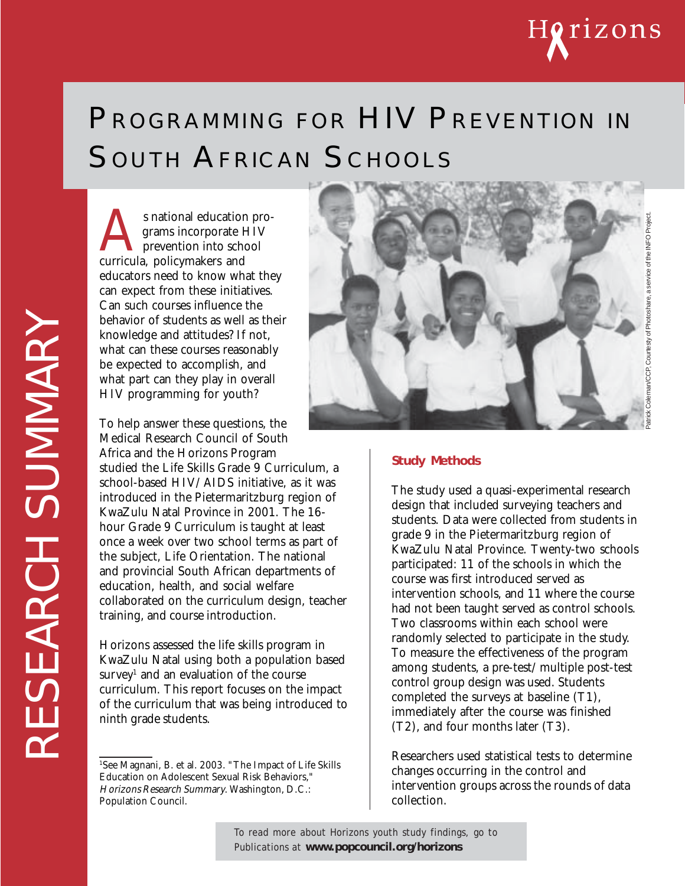

# PROGRAMMING FOR HIV PREVENTION IN SOUTH AFRICAN SCHOOLS

s national education programs incorporate HIV<br>prevention into school<br>curricula, policymakers and grams incorporate HIV prevention into school educators need to know what they can expect from these initiatives. Can such courses influence the behavior of students as well as their knowledge and attitudes? If not, what can these courses reasonably be expected to accomplish, and what part can they play in overall HIV programming for youth?

To help answer these questions, the Medical Research Council of South Africa and the Horizons Program studied the Life Skills Grade 9 Curriculum, a school-based HIV/AIDS initiative, as it was introduced in the Pietermaritzburg region of KwaZulu Natal Province in 2001. The 16 hour Grade 9 Curriculum is taught at least once a week over two school terms as part of the subject, Life Orientation. The national and provincial South African departments of education, health, and social welfare collaborated on the curriculum design, teacher training, and course introduction.

Horizons assessed the life skills program in KwaZulu Natal using both a population based survey $^{\rm 1}$  and an evaluation of the course curriculum. This report focuses on the impact of the curriculum that was being introduced to ninth grade students.



#### **Study Methods**

The study used a quasi-experimental research design that included surveying teachers and students. Data were collected from students in grade 9 in the Pietermaritzburg region of KwaZulu Natal Province. Twenty-two schools participated: 11 of the schools in which the course was first introduced served as intervention schools, and 11 where the course had not been taught served as control schools. Two classrooms within each school were randomly selected to participate in the study. To measure the effectiveness of the program among students, a pre-test/multiple post-test control group design was used. Students completed the surveys at baseline (T1), immediately after the course was finished (T2), and four months later (T3).

Researchers used statistical tests to determine changes occurring in the control and intervention groups across the rounds of data collection.

To read more about Horizons youth study findings, go to Publications at **www.popcouncil.org/horizons**

<sup>1</sup> See Magnani, B. et al. 2003. "The Impact of Life Skills Education on Adolescent Sexual Risk Behaviors," Horizons Research Summary. Washington, D.C.: Population Council.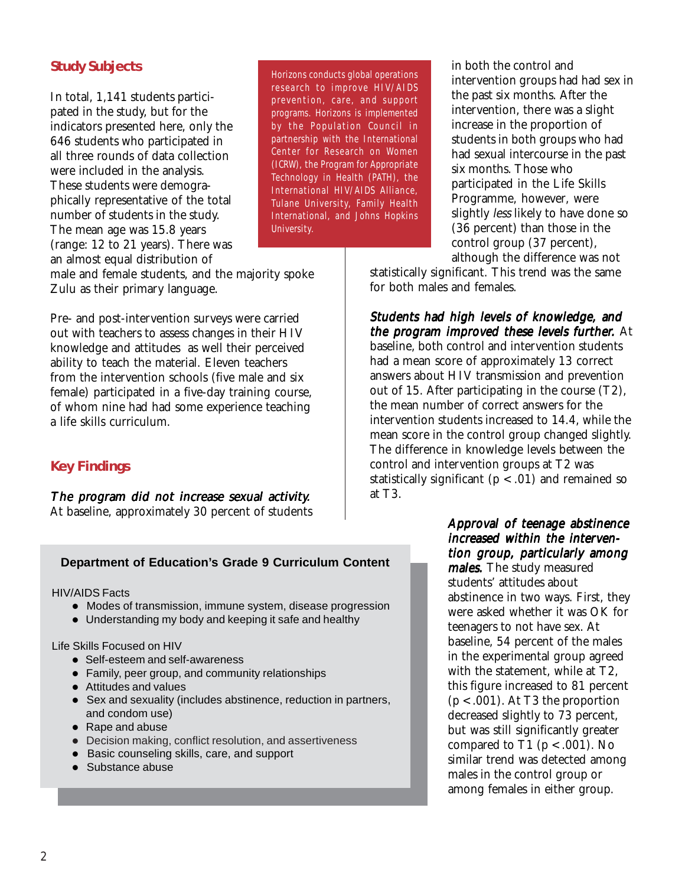### **Study Subjects**

In total, 1,141 students participated in the study, but for the indicators presented here, only the 646 students who participated in all three rounds of data collection were included in the analysis. These students were demographically representative of the total number of students in the study. The mean age was 15.8 years (range: 12 to 21 years). There was an almost equal distribution of

Horizons conducts global operations research to improve HIV/AIDS prevention, care, and support programs. Horizons is implemented by the Population Council in partnership with the International Center for Research on Women (ICRW), the Program for Appropriate Technology in Health (PATH), the International HIV/AIDS Alliance, Tulane University, Family Health International, and Johns Hopkins University.

male and female students, and the majority spoke Zulu as their primary language.

Pre- and post-intervention surveys were carried out with teachers to assess changes in their HIV knowledge and attitudes as well their perceived ability to teach the material. Eleven teachers from the intervention schools (five male and six female) participated in a five-day training course, of whom nine had had some experience teaching a life skills curriculum.

#### **Key Findings**

#### The program did not increase sexual activity. At baseline, approximately 30 percent of students

#### **Department of Education's Grade 9 Curriculum Content**

HIV/AIDS Facts

- Modes of transmission, immune system, disease progression
- Understanding my body and keeping it safe and healthy

Life Skills Focused on HIV

- Self-esteem and self-awareness
- Family, peer group, and community relationships
- Attitudes and values
- ! Sex and sexuality (includes abstinence, reduction in partners, and condom use)
- Rape and abuse
- Decision making, conflict resolution, and assertiveness
- ! Basic counseling skills, care, and support
- Substance abuse

in both the control and intervention groups had had sex in the past six months. After the intervention, there was a slight increase in the proportion of students in both groups who had had sexual intercourse in the past six months. Those who participated in the Life Skills Programme, however, were slightly *less* likely to have done so (36 percent) than those in the control group (37 percent), although the difference was not

statistically significant. This trend was the same for both males and females.

Students had high levels of knowledge, and the program improved these levels further. At baseline, both control and intervention students had a mean score of approximately 13 correct answers about HIV transmission and prevention out of 15. After participating in the course (T2), the mean number of correct answers for the intervention students increased to 14.4, while the mean score in the control group changed slightly. The difference in knowledge levels between the control and intervention groups at T2 was statistically significant ( $p < .01$ ) and remained so at T3.

#### Approval of teenage abstinence increased within the intervention group, particularly among

males. The study measured students' attitudes about abstinence in two ways. First, they were asked whether it was OK for teenagers to not have sex. At baseline, 54 percent of the males in the experimental group agreed with the statement, while at T2, this figure increased to 81 percent  $(p < .001)$ . At T3 the proportion decreased slightly to 73 percent, but was still significantly greater compared to T1 ( $p < .001$ ). No similar trend was detected among males in the control group or among females in either group.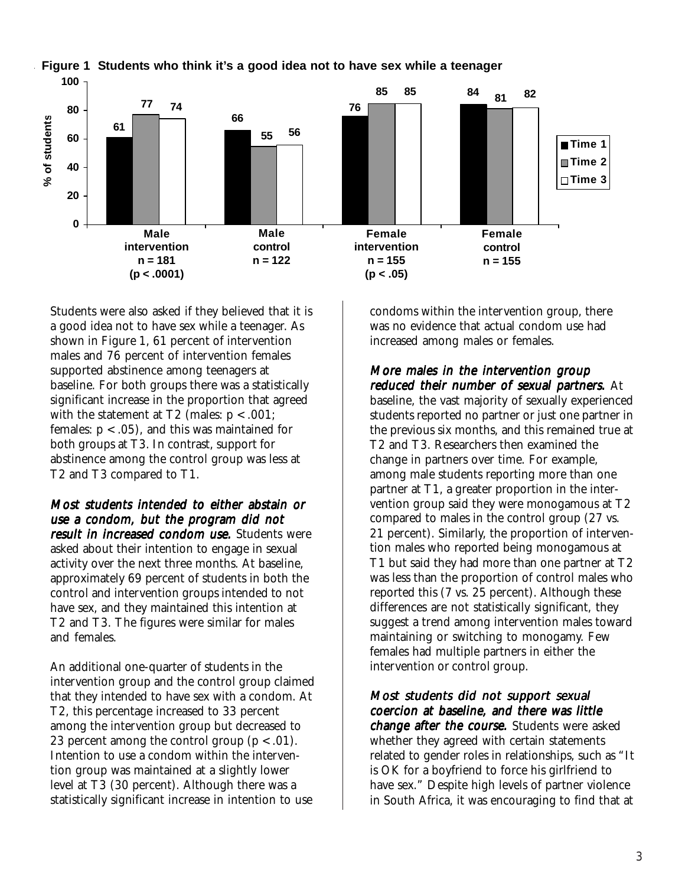

**Figure 1 Students who think it's a good idea not to have sex while a teenager**

Students were also asked if they believed that it is a good idea not to have sex while a teenager. As shown in Figure 1, 61 percent of intervention males and 76 percent of intervention females supported abstinence among teenagers at baseline. For both groups there was a statistically significant increase in the proportion that agreed with the statement at  $T2$  (males:  $p < .001$ ; females:  $p < .05$ ), and this was maintained for both groups at T3. In contrast, support for abstinence among the control group was less at T2 and T3 compared to T1.

Most students intended to either abstain or use a condom, but the program did not result in increased condom use. Students were asked about their intention to engage in sexual activity over the next three months. At baseline, approximately 69 percent of students in both the control and intervention groups intended to not have sex, and they maintained this intention at T2 and T3. The figures were similar for males and females.

An additional one-quarter of students in the intervention group and the control group claimed that they intended to have sex with a condom. At T2, this percentage increased to 33 percent among the intervention group but decreased to 23 percent among the control group  $(p < .01)$ . Intention to use a condom within the intervention group was maintained at a slightly lower level at T3 (30 percent). Although there was a statistically significant increase in intention to use

condoms within the intervention group, there was no evidence that actual condom use had increased among males or females.

More males in the intervention group reduced their number of sexual partners. At baseline, the vast majority of sexually experienced students reported no partner or just one partner in the previous six months, and this remained true at T2 and T3. Researchers then examined the change in partners over time. For example, among male students reporting more than one partner at T1, a greater proportion in the intervention group said they were monogamous at T2 compared to males in the control group (27 vs. 21 percent). Similarly, the proportion of intervention males who reported being monogamous at T1 but said they had more than one partner at T2 was less than the proportion of control males who reported this (7 vs. 25 percent). Although these differences are not statistically significant, they suggest a trend among intervention males toward maintaining or switching to monogamy. Few females had multiple partners in either the intervention or control group.

Most students did not support sexual coercion at baseline, and there was little change after the course. Students were asked whether they agreed with certain statements related to gender roles in relationships, such as "It is OK for a boyfriend to force his girlfriend to have sex." Despite high levels of partner violence in South Africa, it was encouraging to find that at